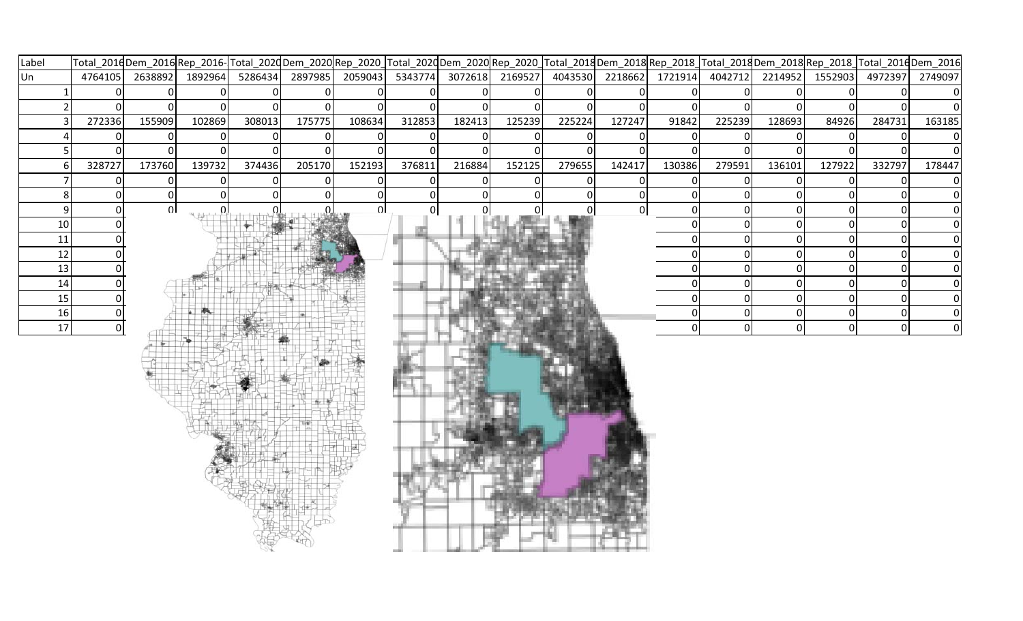| Label          |              |          |                |         |          |        |        |        |        |                | Total_2016Dem_2016 Rep_2016- Total_2020Oem_2020 Rep_2020_ Total_2020Oem_2020 Rep_2020_ Total_2018 Dem_2018 Total_2018 Dem_2018 Rep_2018_ Total_2016 Dem_2016 |                |                |              |              |                                 |        |
|----------------|--------------|----------|----------------|---------|----------|--------|--------|--------|--------|----------------|--------------------------------------------------------------------------------------------------------------------------------------------------------------|----------------|----------------|--------------|--------------|---------------------------------|--------|
| Un             | 4764105      | 2638892  | 1892964        | 5286434 |          |        |        |        |        |                | 2897985 2059043 5343774 3072618 2169527 4043530 2218662 1721914                                                                                              |                | 4042712        |              |              | 2214952 1552903 4972397 2749097 |        |
|                |              | 01       |                |         |          |        |        |        |        |                |                                                                                                                                                              | $\overline{0}$ | $\Omega$       | $\Omega$     |              |                                 |        |
|                | ΩI           | $\Omega$ |                |         |          |        |        |        |        |                |                                                                                                                                                              | $\Omega$       | $\Omega$       | $\Omega$     |              |                                 |        |
|                | 272336       | 155909   | 102869         | 308013  | 175775   | 108634 | 312853 | 182413 | 125239 | 225224         | 127247                                                                                                                                                       | 91842          | 225239         | 128693       | 84926        | 284731                          | 163185 |
|                | 0            | 0        | <sup>0</sup>   | 0       | $\Omega$ |        |        |        |        | 0              |                                                                                                                                                              | $\Omega$       | $\overline{0}$ | $\mathbf{0}$ | <sup>o</sup> | $\Omega$                        |        |
|                | $\Omega$     | $\Omega$ |                | ΩI      |          |        |        |        |        | $\Omega$       |                                                                                                                                                              | $\Omega$       | $\Omega$       | $\Omega$     |              |                                 |        |
|                | 328727       | 173760   | 139732         | 374436  | 205170   | 152193 | 376811 | 216884 | 152125 | 279655         | 142417                                                                                                                                                       | 130386         | 279591         | 136101       | 127922       | 332797                          | 178447 |
|                | $\Omega$     | οI       | $\overline{0}$ |         |          |        |        |        |        | $\overline{0}$ | $\overline{0}$                                                                                                                                               | $\overline{0}$ | $\overline{0}$ | $\Omega$     | ΩI           |                                 |        |
| 81             | $\Omega$     | 0        | $\Omega$       |         |          |        |        |        |        | 0              | $\overline{0}$                                                                                                                                               | $\overline{0}$ | $\mathbf 0$    | 0            |              |                                 |        |
| $\overline{9}$ | $\mathbf{0}$ | $\Omega$ | $\Omega$       |         |          | ΩL     |        |        |        |                | $\Omega$                                                                                                                                                     | $\overline{0}$ | $\overline{0}$ | $\Omega$     | $\Omega$     | ΩI                              |        |
| 10             |              |          |                |         |          |        |        |        |        |                |                                                                                                                                                              | ٥l             | $\overline{0}$ | $\Omega$     | ΩI           | U                               |        |
| 11             |              |          |                |         |          |        |        |        |        |                |                                                                                                                                                              | 0              | $\overline{0}$ |              |              |                                 |        |
| 12             |              |          |                |         |          |        |        |        |        |                |                                                                                                                                                              | 0              | 0              | $\Omega$     |              |                                 |        |
| 13             |              |          |                |         |          |        |        |        |        |                |                                                                                                                                                              | 0              | 0              | $\Omega$     |              |                                 |        |
| 14             |              |          |                |         |          |        |        |        |        |                |                                                                                                                                                              | 01             | $\overline{0}$ | $\Omega$     | ΩI           | ΩI                              |        |
| 15             |              |          |                |         |          |        |        |        |        |                |                                                                                                                                                              | 01             | $\Omega$       | ∩            |              |                                 |        |
| 16             |              |          |                |         |          |        |        |        |        |                |                                                                                                                                                              | $\overline{0}$ | $\overline{0}$ |              |              |                                 |        |
| 17             |              |          |                |         |          |        |        |        |        |                |                                                                                                                                                              | $\overline{0}$ | $\overline{0}$ | $\mathbf 0$  | <sub>0</sub> | οl                              | 0      |
|                |              |          |                |         |          |        |        |        |        |                |                                                                                                                                                              |                |                |              |              |                                 |        |
|                |              |          |                |         |          |        |        |        |        |                |                                                                                                                                                              |                |                |              |              |                                 |        |
|                |              |          |                |         |          |        |        |        |        |                |                                                                                                                                                              |                |                |              |              |                                 |        |
|                |              |          |                |         |          |        |        |        |        |                |                                                                                                                                                              |                |                |              |              |                                 |        |
|                |              |          |                |         |          |        |        |        |        |                |                                                                                                                                                              |                |                |              |              |                                 |        |
|                |              |          |                |         |          |        |        |        |        |                |                                                                                                                                                              |                |                |              |              |                                 |        |
|                |              |          |                |         |          |        |        |        |        |                |                                                                                                                                                              |                |                |              |              |                                 |        |
|                |              |          |                |         |          |        |        |        |        |                |                                                                                                                                                              |                |                |              |              |                                 |        |
|                |              |          |                |         |          |        |        |        |        |                |                                                                                                                                                              |                |                |              |              |                                 |        |
|                |              |          |                |         |          |        |        |        |        |                |                                                                                                                                                              |                |                |              |              |                                 |        |
|                |              |          |                |         |          |        |        |        |        |                |                                                                                                                                                              |                |                |              |              |                                 |        |
|                |              |          |                |         |          |        |        |        |        |                |                                                                                                                                                              |                |                |              |              |                                 |        |
|                |              |          |                |         |          |        |        |        |        |                |                                                                                                                                                              |                |                |              |              |                                 |        |
|                |              |          |                |         |          |        |        |        |        |                |                                                                                                                                                              |                |                |              |              |                                 |        |
|                |              |          |                |         |          |        |        |        |        |                |                                                                                                                                                              |                |                |              |              |                                 |        |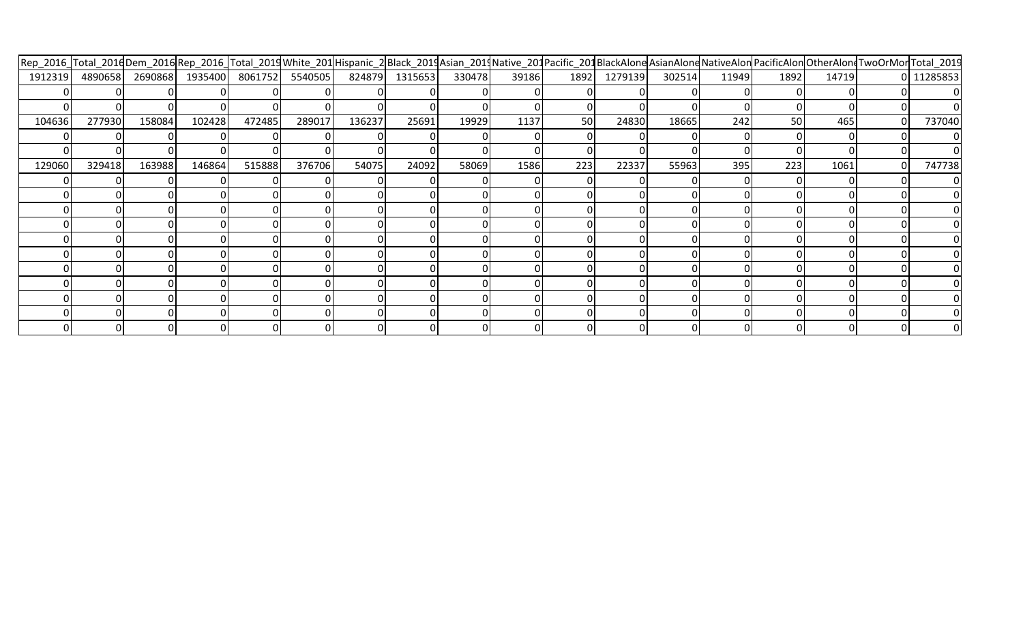|         |        |                                         |        |        |        |        |                |        |       |      | Rep_2016_Total_2016Dem_2016 Rep_2016_Total_2019White_201 Hispanic_2 Black_2019Asian_2019Native_201Pacific_201BlackAlone AsianAlone NativeAlon PacificAlon OtherAlon TwoOrMor Total_2019 |        |       |      |       |    |                |
|---------|--------|-----------------------------------------|--------|--------|--------|--------|----------------|--------|-------|------|-----------------------------------------------------------------------------------------------------------------------------------------------------------------------------------------|--------|-------|------|-------|----|----------------|
| 1912319 |        | 4890658 2690868 1935400 8061752 5540505 |        |        |        |        | 824879 1315653 | 330478 | 39186 | 1892 | 1279139                                                                                                                                                                                 | 302514 | 11949 | 1892 | 14719 |    | 0 11285853     |
|         |        |                                         |        |        |        |        |                |        |       |      |                                                                                                                                                                                         |        |       |      |       |    | 0              |
|         |        |                                         |        |        |        |        |                |        |       |      |                                                                                                                                                                                         |        |       |      |       |    |                |
| 104636  | 277930 | 158084                                  | 102428 | 472485 | 289017 | 136237 | 25691          | 19929  | 1137  | 50   | 24830                                                                                                                                                                                   | 18665  | 242   | 50   | 465   | ΟI | 737040         |
|         |        |                                         |        |        |        |        |                |        |       |      |                                                                                                                                                                                         |        |       |      |       |    | $\overline{0}$ |
|         |        |                                         |        |        |        |        |                |        |       |      |                                                                                                                                                                                         |        |       |      |       |    | 01             |
| 129060  | 329418 | 163988                                  | 146864 | 515888 | 376706 | 54075  | 24092          | 58069  | 1586  | 223  | 22337                                                                                                                                                                                   | 55963  | 395   | 223  | 1061  | 0I | 747738         |
|         |        |                                         |        |        |        |        |                |        |       |      |                                                                                                                                                                                         |        |       |      |       |    | $\overline{0}$ |
|         |        |                                         |        |        |        |        |                |        |       |      |                                                                                                                                                                                         |        |       |      |       |    | $\overline{0}$ |
|         |        |                                         |        |        |        |        |                |        |       |      |                                                                                                                                                                                         |        |       |      |       |    | 0              |
|         |        |                                         |        |        |        |        |                |        |       |      |                                                                                                                                                                                         |        |       |      |       |    | 0              |
|         |        |                                         |        |        |        |        |                |        |       |      |                                                                                                                                                                                         |        |       |      |       |    |                |
|         |        |                                         |        |        |        |        |                |        |       |      |                                                                                                                                                                                         |        |       |      |       |    |                |
|         |        |                                         |        |        |        |        |                |        |       |      |                                                                                                                                                                                         |        |       |      |       |    |                |
|         |        |                                         |        |        |        |        |                |        |       |      |                                                                                                                                                                                         |        |       |      |       |    |                |
|         |        |                                         |        |        |        |        |                |        |       |      |                                                                                                                                                                                         |        |       |      |       |    |                |
|         |        |                                         |        |        |        |        |                |        |       |      |                                                                                                                                                                                         |        |       |      |       |    |                |
|         |        |                                         |        |        |        |        |                |        |       |      |                                                                                                                                                                                         |        |       |      |       |    |                |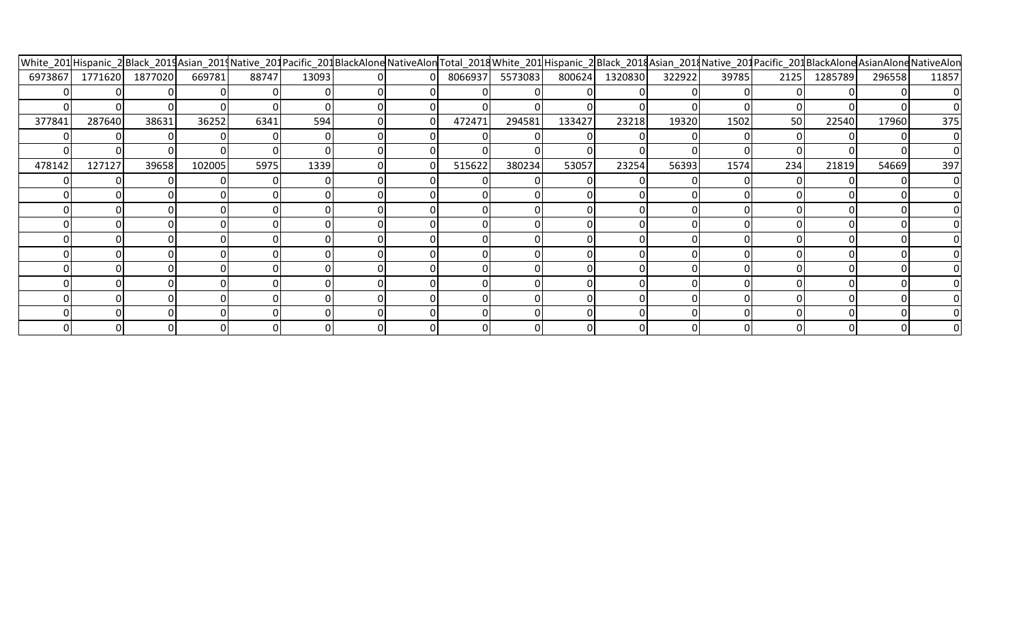|         |         |         |        |       |       |  | White_201 Hispanic_2 Black_2014 Asian_2014 Native_201 Pacific_201 BlackAlone NativeAlon Total_2018 White_201 Hispanic_2 Black_2018 Asian_2014 Native_201 Pacific_201 BlackAlone AsianAlone NativeAlon |         |        |         |        |       |      |         |        |                |
|---------|---------|---------|--------|-------|-------|--|-------------------------------------------------------------------------------------------------------------------------------------------------------------------------------------------------------|---------|--------|---------|--------|-------|------|---------|--------|----------------|
| 6973867 | 1771620 | 1877020 | 669781 | 88747 | 13093 |  | 8066937                                                                                                                                                                                               | 5573083 | 800624 | 1320830 | 322922 | 39785 | 2125 | 1285789 | 296558 | 11857          |
|         |         |         |        |       |       |  |                                                                                                                                                                                                       |         |        |         |        |       |      |         |        | 0              |
|         |         |         |        |       |       |  |                                                                                                                                                                                                       |         |        |         |        |       |      |         |        |                |
| 377841  | 287640  | 38631   | 36252  | 6341  | 594   |  | 472471                                                                                                                                                                                                | 294581  | 133427 | 23218   | 19320  | 1502  | 50   | 22540   | 17960  | 375            |
|         |         |         |        |       |       |  |                                                                                                                                                                                                       |         |        |         |        |       |      |         |        | $\overline{0}$ |
|         |         |         |        |       |       |  |                                                                                                                                                                                                       |         |        |         |        |       |      |         |        | $\overline{0}$ |
| 478142  | 127127  | 39658   | 102005 | 5975  | 1339  |  | 515622                                                                                                                                                                                                | 380234  | 53057  | 23254   | 56393  | 1574  | 234  | 21819   | 54669  | 397            |
|         |         |         |        |       |       |  |                                                                                                                                                                                                       |         |        |         |        |       |      |         |        | $\overline{0}$ |
|         |         |         |        |       |       |  |                                                                                                                                                                                                       |         |        |         |        |       |      |         |        | 0              |
|         |         |         |        |       |       |  |                                                                                                                                                                                                       |         |        |         |        |       |      |         |        |                |
|         |         |         |        |       |       |  |                                                                                                                                                                                                       |         |        |         |        |       |      |         |        |                |
|         |         |         | 01     |       |       |  |                                                                                                                                                                                                       |         |        |         |        |       |      |         |        |                |
|         |         |         |        |       |       |  |                                                                                                                                                                                                       |         |        |         |        |       |      |         |        |                |
|         |         |         |        |       |       |  |                                                                                                                                                                                                       |         |        |         |        |       |      |         |        |                |
|         |         |         |        |       |       |  |                                                                                                                                                                                                       |         |        |         |        |       |      |         |        |                |
|         |         |         |        |       |       |  |                                                                                                                                                                                                       |         |        |         |        |       |      |         |        |                |
|         |         |         | ΩI     |       |       |  |                                                                                                                                                                                                       |         |        |         |        |       |      |         |        |                |
|         |         |         | ΩI     |       |       |  |                                                                                                                                                                                                       |         |        |         |        |       |      |         |        |                |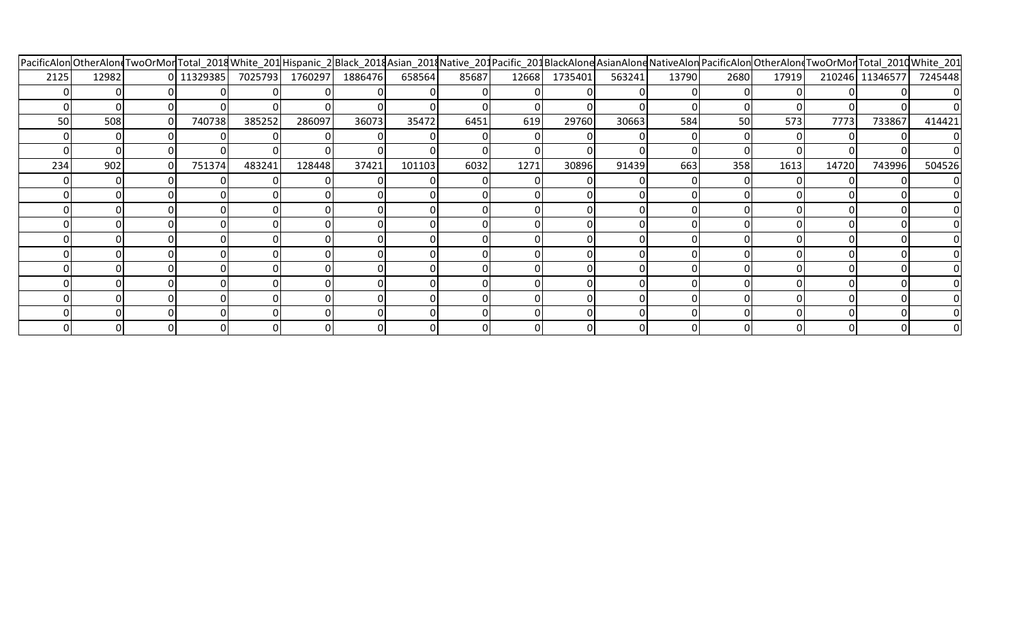|      |       |    |            |        |        |                         |        |       |       |         |        |       |      | PacificAlonOtherAlondTwoOrMor Total_2018White_201 Hispanic_2 Black_2018Asian_2018Native_201Pacific_201BlackAlone AsianAlone NativeAlon PacificAlon OtherAlondTwoOrMor Total_2010White_201 |       |                 |          |
|------|-------|----|------------|--------|--------|-------------------------|--------|-------|-------|---------|--------|-------|------|-------------------------------------------------------------------------------------------------------------------------------------------------------------------------------------------|-------|-----------------|----------|
| 2125 | 12982 |    | 0 11329385 |        |        | 7025793 1760297 1886476 | 658564 | 85687 | 12668 | 1735401 | 563241 | 13790 | 2680 | 17919                                                                                                                                                                                     |       | 210246 11346577 | 7245448  |
|      |       |    |            |        |        |                         |        |       |       |         |        |       |      |                                                                                                                                                                                           |       |                 | $\Omega$ |
|      |       |    |            |        |        |                         |        |       |       |         |        |       |      |                                                                                                                                                                                           |       |                 |          |
| 50   | 508   | 0. | 740738     | 385252 | 286097 | 36073                   | 35472  | 6451  | 619   | 29760   | 30663  | 584   | 50   | 573                                                                                                                                                                                       | 7773  | 733867          | 414421   |
|      |       |    |            |        |        |                         |        |       |       |         |        |       |      |                                                                                                                                                                                           |       |                 |          |
|      |       |    |            |        |        |                         |        |       |       |         |        |       |      |                                                                                                                                                                                           |       |                 |          |
| 234  | 902   |    | 751374     | 483241 | 128448 | 37421                   | 101103 | 6032  | 1271  | 30896   | 91439  | 663   | 358  | 1613                                                                                                                                                                                      | 14720 | 743996          | 504526   |
|      |       |    |            |        |        |                         |        |       |       |         |        |       |      |                                                                                                                                                                                           |       |                 | 0        |
|      |       |    |            |        |        |                         |        |       |       |         |        |       |      |                                                                                                                                                                                           |       |                 |          |
|      |       |    |            |        |        |                         |        |       |       |         |        |       |      |                                                                                                                                                                                           |       |                 |          |
|      |       |    |            |        |        |                         |        |       |       |         |        |       |      |                                                                                                                                                                                           |       |                 |          |
|      |       |    |            | 01     |        |                         |        |       |       |         |        |       |      |                                                                                                                                                                                           |       |                 |          |
|      |       |    |            | 01     |        |                         |        |       |       |         |        |       |      |                                                                                                                                                                                           |       |                 |          |
|      |       |    |            |        |        |                         |        |       |       |         |        |       |      |                                                                                                                                                                                           |       |                 |          |
|      |       |    |            |        |        |                         |        |       |       |         |        |       |      |                                                                                                                                                                                           |       |                 |          |
|      |       |    |            |        |        |                         |        |       |       |         |        |       |      |                                                                                                                                                                                           |       |                 |          |
|      |       |    |            |        |        |                         |        |       |       |         |        |       |      |                                                                                                                                                                                           |       |                 |          |
|      |       |    |            |        |        |                         |        |       |       |         |        |       |      |                                                                                                                                                                                           |       |                 |          |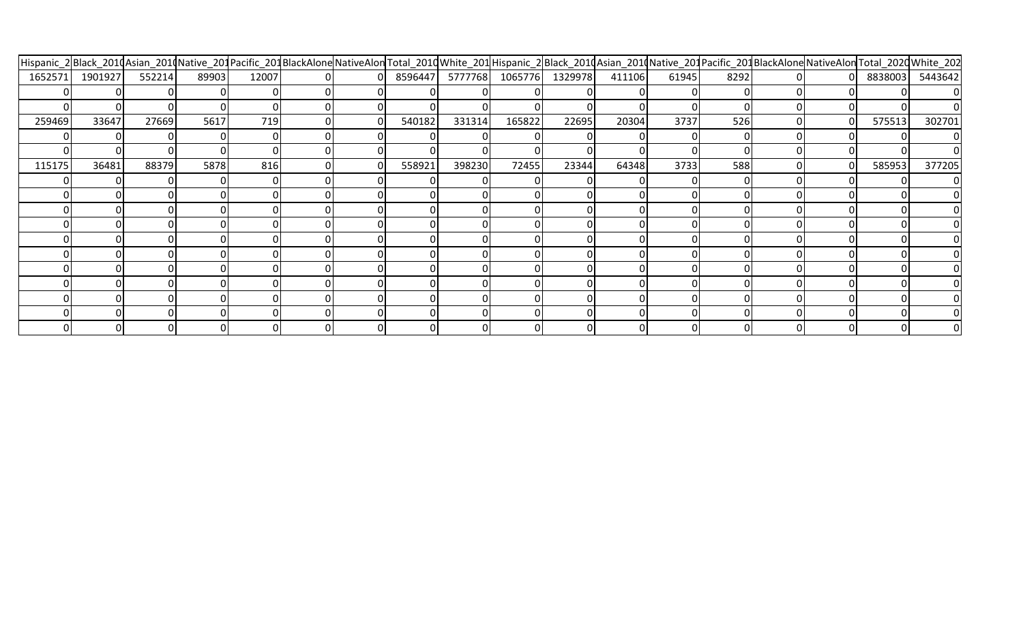|         |         |        |       |       |  |        |                                 |        |       |        |       |      | Hispanic_2 Black_2010Asian_2010Native_201Pacific_201BlackAloneNativeAlonTotal_2010White_201Hispanic_2 Black_2010Asian_2010Native_201Pacific_201BlackAloneNativeAlontTotal_2020White_202 |         |                |
|---------|---------|--------|-------|-------|--|--------|---------------------------------|--------|-------|--------|-------|------|-----------------------------------------------------------------------------------------------------------------------------------------------------------------------------------------|---------|----------------|
| 1652571 | 1901927 | 552214 | 89903 | 12007 |  |        | 8596447 5777768 1065776 1329978 |        |       | 411106 | 61945 | 8292 |                                                                                                                                                                                         | 8838003 | 5443642        |
|         |         |        |       |       |  |        |                                 |        |       |        |       |      |                                                                                                                                                                                         |         |                |
|         |         |        |       |       |  |        |                                 |        |       |        |       |      |                                                                                                                                                                                         |         |                |
| 259469  | 33647   | 27669  | 5617  | 719   |  | 540182 | 331314                          | 165822 | 22695 | 20304  | 3737  | 526  |                                                                                                                                                                                         | 575513  | 302701         |
|         |         |        |       |       |  |        |                                 |        |       |        |       |      |                                                                                                                                                                                         |         | $\overline{0}$ |
|         |         |        |       |       |  |        |                                 |        |       |        |       |      |                                                                                                                                                                                         |         | $\Omega$       |
| 115175  | 36481   | 88379  | 5878  | 816   |  | 558921 | 398230                          | 72455  | 23344 | 64348  | 3733  | 588  |                                                                                                                                                                                         | 585953  | 377205         |
|         |         |        |       |       |  |        |                                 |        |       |        |       |      |                                                                                                                                                                                         |         | $\overline{0}$ |
|         |         |        |       |       |  |        |                                 |        |       |        |       |      |                                                                                                                                                                                         |         | $\Omega$       |
|         |         |        |       |       |  |        |                                 |        |       |        |       |      |                                                                                                                                                                                         |         | 01             |
|         |         |        |       |       |  |        |                                 |        |       |        |       |      |                                                                                                                                                                                         |         | 01             |
|         |         |        |       |       |  |        |                                 |        |       |        |       |      |                                                                                                                                                                                         |         |                |
|         |         |        |       |       |  |        |                                 |        |       |        |       |      |                                                                                                                                                                                         |         |                |
|         |         |        |       |       |  |        |                                 |        |       |        |       |      |                                                                                                                                                                                         |         |                |
|         |         |        |       |       |  |        |                                 |        |       |        |       |      |                                                                                                                                                                                         |         |                |
|         |         |        |       |       |  |        |                                 |        |       |        |       |      |                                                                                                                                                                                         |         |                |
|         |         |        |       |       |  |        |                                 |        |       |        |       |      |                                                                                                                                                                                         |         |                |
|         |         |        |       |       |  |        |                                 |        |       |        |       |      |                                                                                                                                                                                         |         |                |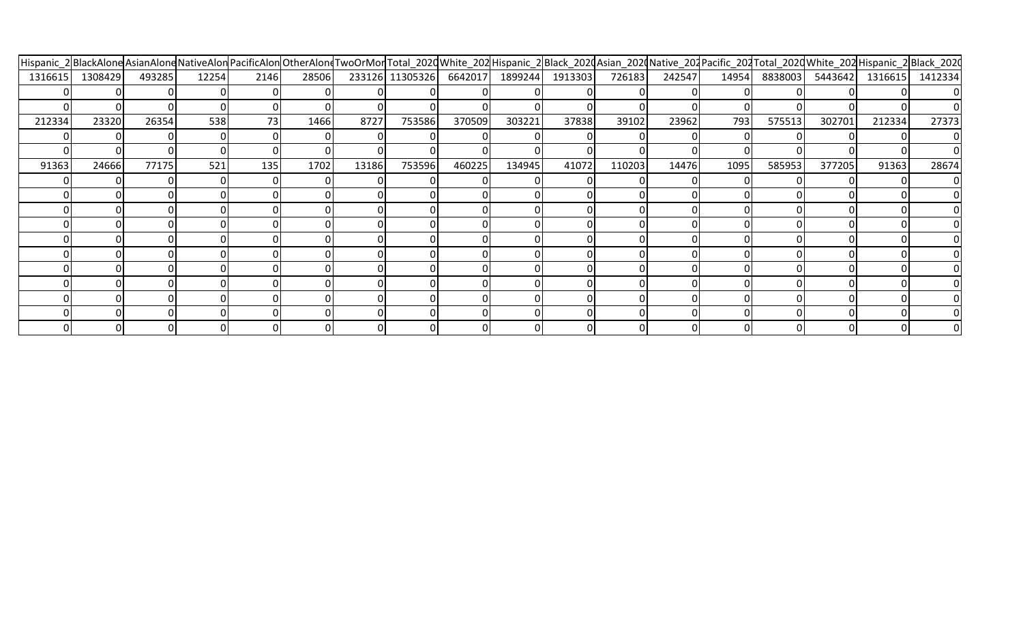|         |         |        |       |      | Hispanic_2 BlackAlone AsianAlone NativeAlon PacificAlon OtherAlone TwoOrMor Total_202dWhite_202 Hispanic_2 Black_202dAsian_202dNative_202 Pacific_202 Total_202dWhite_202 Hispanic_2 Black_202dNative_202 Pacific_202 Total_20 |       |        |                                 |        |         |        |        |       |         |         |         |                |
|---------|---------|--------|-------|------|--------------------------------------------------------------------------------------------------------------------------------------------------------------------------------------------------------------------------------|-------|--------|---------------------------------|--------|---------|--------|--------|-------|---------|---------|---------|----------------|
| 1316615 | 1308429 | 493285 | 12254 | 2146 | 28506                                                                                                                                                                                                                          |       |        | 233126 11305326 6642017 1899244 |        | 1913303 | 726183 | 242547 | 14954 | 8838003 | 5443642 | 1316615 | 1412334        |
|         |         |        |       |      |                                                                                                                                                                                                                                |       |        |                                 |        |         |        |        |       |         |         |         | 0              |
|         |         |        |       |      |                                                                                                                                                                                                                                |       |        |                                 |        |         |        |        |       |         |         |         |                |
| 212334  | 23320   | 26354  | 538   | 73   | 1466                                                                                                                                                                                                                           | 8727  | 753586 | 370509                          | 303221 | 37838   | 39102  | 23962  | 793   | 575513  | 302701  | 212334  | 27373          |
|         |         |        |       |      |                                                                                                                                                                                                                                |       |        |                                 |        |         |        |        |       |         |         |         | $\overline{0}$ |
|         |         |        |       |      |                                                                                                                                                                                                                                |       |        |                                 |        |         |        |        |       |         |         |         | 01             |
| 91363   | 24666   | 77175  | 521   | 135  | 1702                                                                                                                                                                                                                           | 13186 | 753596 | 460225                          | 134945 | 41072   | 110203 | 14476  | 1095  | 585953  | 377205  | 91363   | 28674          |
|         |         |        |       |      |                                                                                                                                                                                                                                |       |        |                                 |        |         |        |        |       |         |         |         | $\overline{0}$ |
|         |         |        |       |      |                                                                                                                                                                                                                                |       |        |                                 |        |         |        |        |       |         |         |         | $\overline{0}$ |
|         |         |        |       |      |                                                                                                                                                                                                                                |       |        |                                 |        |         |        |        |       |         |         |         | 0              |
|         |         |        |       |      |                                                                                                                                                                                                                                |       |        |                                 |        |         |        |        |       |         |         |         | 0              |
|         |         |        |       |      |                                                                                                                                                                                                                                |       |        |                                 |        |         |        |        |       |         |         |         | 0              |
|         |         |        |       |      |                                                                                                                                                                                                                                |       |        |                                 |        |         |        |        |       |         |         |         | 01             |
|         |         |        |       |      |                                                                                                                                                                                                                                |       |        |                                 |        |         |        |        |       |         |         |         |                |
|         |         |        |       |      |                                                                                                                                                                                                                                |       |        |                                 |        |         |        |        |       |         |         |         |                |
|         |         |        |       |      |                                                                                                                                                                                                                                |       |        |                                 |        |         |        |        |       |         |         |         |                |
|         |         |        |       |      |                                                                                                                                                                                                                                |       |        |                                 |        |         |        |        |       |         |         |         |                |
|         |         |        |       |      |                                                                                                                                                                                                                                |       |        |                                 |        |         |        |        |       |         |         |         |                |